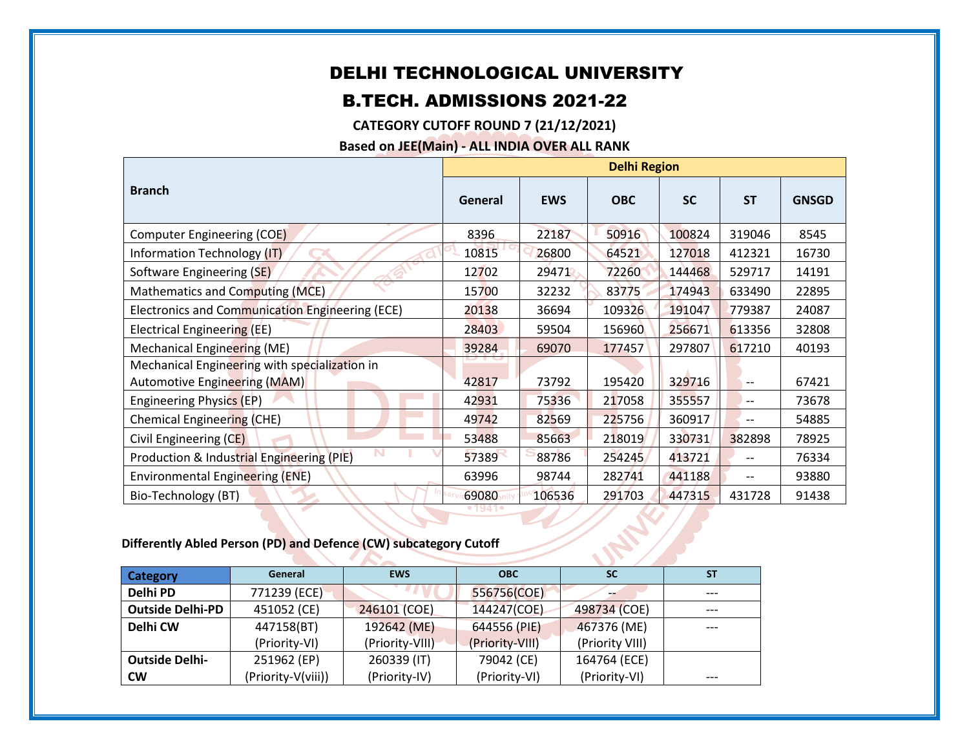## DELHI TECHNOLOGICAL UNIVERSITY

## B.TECH. ADMISSIONS 2021-22

**CATEGORY CUTOFF ROUND 7 (21/12/2021)**

**Based on JEE(Main) - ALL INDIA OVER ALL RANK**

|                                                 | <b>Delhi Region</b> |            |            |           |           |              |
|-------------------------------------------------|---------------------|------------|------------|-----------|-----------|--------------|
| <b>Branch</b>                                   | General             | <b>EWS</b> | <b>OBC</b> | <b>SC</b> | <b>ST</b> | <b>GNSGD</b> |
| Computer Engineering (COE)                      | 8396                | 22187      | 50916      | 100824    | 319046    | 8545         |
| Information Technology (IT)                     | 10815               | 26800      | 64521      | 127018    | 412321    | 16730        |
| Software Engineering (SE)                       | 12702               | 29471      | 72260      | 144468    | 529717    | 14191        |
| Mathematics and Computing (MCE)                 | 15700               | 32232      | 83775      | 174943    | 633490    | 22895        |
| Electronics and Communication Engineering (ECE) | 20138               | 36694      | 109326     | 191047    | 779387    | 24087        |
| Electrical Engineering (EE)                     | 28403               | 59504      | 156960     | 256671    | 613356    | 32808        |
| Mechanical Engineering (ME)                     | 39284               | 69070      | 177457     | 297807    | 617210    | 40193        |
| Mechanical Engineering with specialization in   |                     |            |            |           |           |              |
| Automotive Engineering (MAM)                    | 42817               | 73792      | 195420     | 329716    | $-$       | 67421        |
| Engineering Physics (EP)                        | 42931               | 75336      | 217058     | 355557    | $-$       | 73678        |
| Chemical Engineering (CHE)                      | 49742               | 82569      | 225756     | 360917    |           | 54885        |
| Civil Engineering (CE)                          | 53488               | 85663      | 218019     | 330731    | 382898    | 78925        |
| Production & Industrial Engineering (PIE)       | 57389               | 88786      | 254245     | 413721    |           | 76334        |
| Environmental Engineering (ENE)                 | 63996               | 98744      | 282741     | 441188    |           | 93880        |
| Bio-Technology (BT)                             | 69080               | 106536     | 291703     | 447315    | 431728    | 91438        |

## **Differently Abled Person (PD) and Defence (CW) subcategory Cutoff**

| <b>Category</b>         | General            | <b>EWS</b><br><b>OBC</b> |                 | <b>SC</b>       | <b>ST</b> |  |  |
|-------------------------|--------------------|--------------------------|-----------------|-----------------|-----------|--|--|
| Delhi PD                | 771239 (ECE)       |                          | 556756(COE)     |                 | ---       |  |  |
| <b>Outside Delhi-PD</b> | 451052 (CE)        | 246101 (COE)             | 144247(COE)     | 498734 (COE)    | $---$     |  |  |
| Delhi CW                | 447158(BT)         | 192642 (ME)              | 644556 (PIE)    | 467376 (ME)     | $---$     |  |  |
|                         | (Priority-VI)      | (Priority-VIII)          | (Priority-VIII) | (Priority VIII) |           |  |  |
| <b>Outside Delhi-</b>   | 251962 (EP)        | 260339 (IT)              | 79042 (CE)      | 164764 (ECE)    |           |  |  |
| <b>CW</b>               | (Priority-V(viii)) | (Priority-IV)            | (Priority-VI)   | (Priority-VI)   | $---$     |  |  |